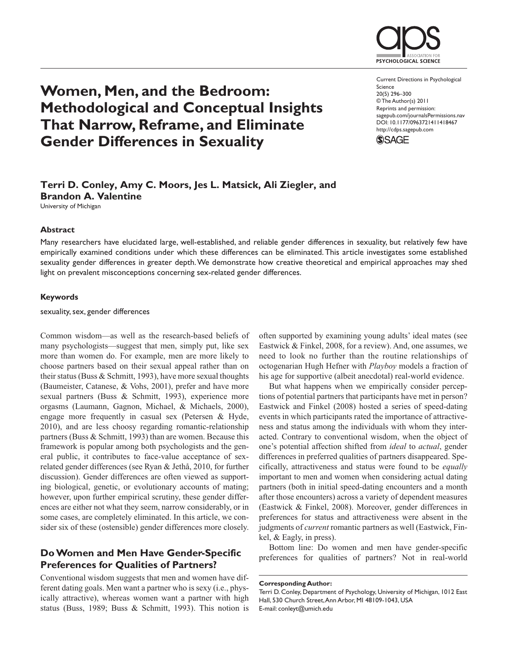

# **Women, Men, and the Bedroom: Methodological and Conceptual Insights That Narrow, Reframe, and Eliminate Gender Differences in Sexuality**

Current Directions in Psychological Science 20(5) 296–300 © The Author(s) 2011 Reprints and permission: sagepub.com/journalsPermissions.nav DOI: 10.1177/0963721411418467 http://cdps.sagepub.com



## **Terri D. Conley, Amy C. Moors, Jes L. Matsick, Ali Ziegler, and Brandon A. Valentine**

University of Michigan

#### **Abstract**

Many researchers have elucidated large, well-established, and reliable gender differences in sexuality, but relatively few have empirically examined conditions under which these differences can be eliminated. This article investigates some established sexuality gender differences in greater depth. We demonstrate how creative theoretical and empirical approaches may shed light on prevalent misconceptions concerning sex-related gender differences.

#### **Keywords**

sexuality, sex, gender differences

Common wisdom—as well as the research-based beliefs of many psychologists—suggest that men, simply put, like sex more than women do. For example, men are more likely to choose partners based on their sexual appeal rather than on their status (Buss & Schmitt, 1993), have more sexual thoughts (Baumeister, Catanese, & Vohs, 2001), prefer and have more sexual partners (Buss & Schmitt, 1993), experience more orgasms (Laumann, Gagnon, Michael, & Michaels, 2000), engage more frequently in casual sex (Petersen & Hyde, 2010), and are less choosy regarding romantic-relationship partners (Buss & Schmitt, 1993) than are women. Because this framework is popular among both psychologists and the general public, it contributes to face-value acceptance of sexrelated gender differences (see Ryan & Jethå, 2010, for further discussion). Gender differences are often viewed as supporting biological, genetic, or evolutionary accounts of mating; however, upon further empirical scrutiny, these gender differences are either not what they seem, narrow considerably, or in some cases, are completely eliminated. In this article, we consider six of these (ostensible) gender differences more closely.

### **Do Women and Men Have Gender-Specific Preferences for Qualities of Partners?**

Conventional wisdom suggests that men and women have different dating goals. Men want a partner who is sexy (i.e., physically attractive), whereas women want a partner with high status (Buss, 1989; Buss & Schmitt, 1993). This notion is often supported by examining young adults' ideal mates (see Eastwick & Finkel, 2008, for a review). And, one assumes, we need to look no further than the routine relationships of octogenarian Hugh Hefner with *Playboy* models a fraction of his age for supportive (albeit anecdotal) real-world evidence.

But what happens when we empirically consider perceptions of potential partners that participants have met in person? Eastwick and Finkel (2008) hosted a series of speed-dating events in which participants rated the importance of attractiveness and status among the individuals with whom they interacted. Contrary to conventional wisdom, when the object of one's potential affection shifted from *ideal* to *actual*, gender differences in preferred qualities of partners disappeared. Specifically, attractiveness and status were found to be *equally* important to men and women when considering actual dating partners (both in initial speed-dating encounters and a month after those encounters) across a variety of dependent measures (Eastwick & Finkel, 2008). Moreover, gender differences in preferences for status and attractiveness were absent in the judgments of *current* romantic partners as well (Eastwick, Finkel, & Eagly, in press).

Bottom line: Do women and men have gender-specific preferences for qualities of partners? Not in real-world

**Corresponding Author:**

Terri D. Conley, Department of Psychology, University of Michigan, 1012 East Hall, 530 Church Street, Ann Arbor, MI 48109-1043, USA E-mail: conleyt@umich.edu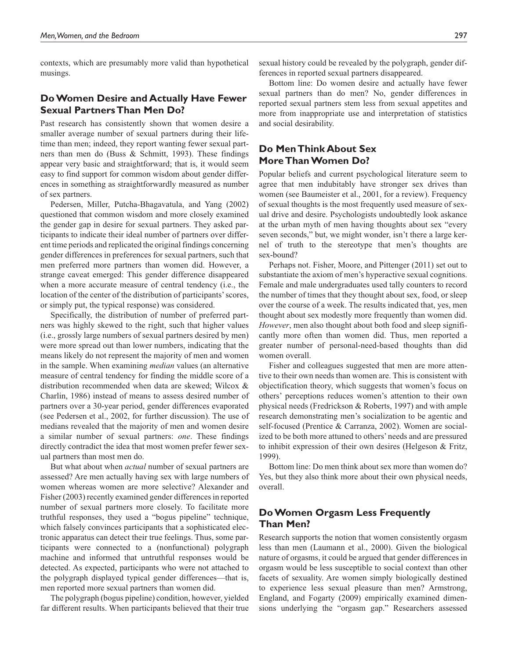contexts, which are presumably more valid than hypothetical musings.

### **Do Women Desire and Actually Have Fewer Sexual Partners Than Men Do?**

Past research has consistently shown that women desire a smaller average number of sexual partners during their lifetime than men; indeed, they report wanting fewer sexual partners than men do (Buss & Schmitt, 1993). These findings appear very basic and straightforward; that is, it would seem easy to find support for common wisdom about gender differences in something as straightforwardly measured as number of sex partners.

Pedersen, Miller, Putcha-Bhagavatula, and Yang (2002) questioned that common wisdom and more closely examined the gender gap in desire for sexual partners. They asked participants to indicate their ideal number of partners over different time periods and replicated the original findings concerning gender differences in preferences for sexual partners, such that men preferred more partners than women did. However, a strange caveat emerged: This gender difference disappeared when a more accurate measure of central tendency (i.e., the location of the center of the distribution of participants' scores, or simply put, the typical response) was considered.

Specifically, the distribution of number of preferred partners was highly skewed to the right, such that higher values (i.e., grossly large numbers of sexual partners desired by men) were more spread out than lower numbers, indicating that the means likely do not represent the majority of men and women in the sample. When examining *median* values (an alternative measure of central tendency for finding the middle score of a distribution recommended when data are skewed; Wilcox & Charlin, 1986) instead of means to assess desired number of partners over a 30-year period, gender differences evaporated (see Pedersen et al., 2002, for further discussion). The use of medians revealed that the majority of men and women desire a similar number of sexual partners: *one*. These findings directly contradict the idea that most women prefer fewer sexual partners than most men do.

But what about when *actual* number of sexual partners are assessed? Are men actually having sex with large numbers of women whereas women are more selective? Alexander and Fisher (2003) recently examined gender differences in reported number of sexual partners more closely. To facilitate more truthful responses, they used a "bogus pipeline" technique, which falsely convinces participants that a sophisticated electronic apparatus can detect their true feelings. Thus, some participants were connected to a (nonfunctional) polygraph machine and informed that untruthful responses would be detected. As expected, participants who were not attached to the polygraph displayed typical gender differences—that is, men reported more sexual partners than women did.

The polygraph (bogus pipeline) condition, however, yielded far different results. When participants believed that their true

sexual history could be revealed by the polygraph, gender differences in reported sexual partners disappeared.

Bottom line: Do women desire and actually have fewer sexual partners than do men? No, gender differences in reported sexual partners stem less from sexual appetites and more from inappropriate use and interpretation of statistics and social desirability.

### **Do Men Think About Sex More Than Women Do?**

Popular beliefs and current psychological literature seem to agree that men indubitably have stronger sex drives than women (see Baumeister et al., 2001, for a review). Frequency of sexual thoughts is the most frequently used measure of sexual drive and desire. Psychologists undoubtedly look askance at the urban myth of men having thoughts about sex "every seven seconds," but, we might wonder, isn't there a large kernel of truth to the stereotype that men's thoughts are sex-bound?

Perhaps not. Fisher, Moore, and Pittenger (2011) set out to substantiate the axiom of men's hyperactive sexual cognitions. Female and male undergraduates used tally counters to record the number of times that they thought about sex, food, or sleep over the course of a week. The results indicated that, yes, men thought about sex modestly more frequently than women did. *However*, men also thought about both food and sleep significantly more often than women did. Thus, men reported a greater number of personal-need-based thoughts than did women overall.

Fisher and colleagues suggested that men are more attentive to their own needs than women are. This is consistent with objectification theory, which suggests that women's focus on others' perceptions reduces women's attention to their own physical needs (Fredrickson & Roberts, 1997) and with ample research demonstrating men's socialization to be agentic and self-focused (Prentice & Carranza, 2002). Women are socialized to be both more attuned to others' needs and are pressured to inhibit expression of their own desires (Helgeson & Fritz, 1999).

Bottom line: Do men think about sex more than women do? Yes, but they also think more about their own physical needs, overall.

### **Do Women Orgasm Less Frequently Than Men?**

Research supports the notion that women consistently orgasm less than men (Laumann et al., 2000). Given the biological nature of orgasms, it could be argued that gender differences in orgasm would be less susceptible to social context than other facets of sexuality. Are women simply biologically destined to experience less sexual pleasure than men? Armstrong, England, and Fogarty (2009) empirically examined dimensions underlying the "orgasm gap." Researchers assessed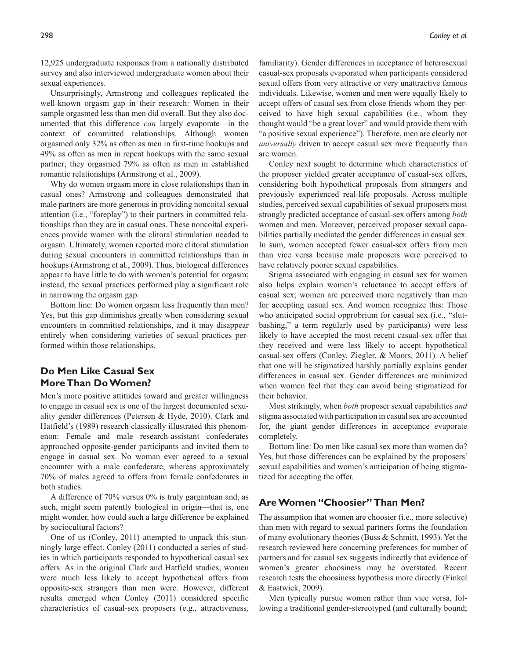12,925 undergraduate responses from a nationally distributed survey and also interviewed undergraduate women about their sexual experiences.

Unsurprisingly, Armstrong and colleagues replicated the well-known orgasm gap in their research: Women in their sample orgasmed less than men did overall. But they also documented that this difference *can* largely evaporate—in the context of committed relationships. Although women orgasmed only 32% as often as men in first-time hookups and 49% as often as men in repeat hookups with the same sexual partner; they orgasmed 79% as often as men in established romantic relationships (Armstrong et al., 2009).

Why do women orgasm more in close relationships than in casual ones? Armstrong and colleagues demonstrated that male partners are more generous in providing noncoital sexual attention (i.e., "foreplay") to their partners in committed relationships than they are in casual ones. These noncoital experiences provide women with the clitoral stimulation needed to orgasm. Ultimately, women reported more clitoral stimulation during sexual encounters in committed relationships than in hookups (Armstrong et al., 2009). Thus, biological differences appear to have little to do with women's potential for orgasm; instead, the sexual practices performed play a significant role in narrowing the orgasm gap.

Bottom line: Do women orgasm less frequently than men? Yes, but this gap diminishes greatly when considering sexual encounters in committed relationships, and it may disappear entirely when considering varieties of sexual practices performed within those relationships.

### **Do Men Like Casual Sex More Than Do Women?**

Men's more positive attitudes toward and greater willingness to engage in casual sex is one of the largest documented sexuality gender differences (Petersen & Hyde, 2010). Clark and Hatfield's (1989) research classically illustrated this phenomenon: Female and male research-assistant confederates approached opposite-gender participants and invited them to engage in casual sex. No woman ever agreed to a sexual encounter with a male confederate, whereas approximately 70% of males agreed to offers from female confederates in both studies.

A difference of 70% versus 0% is truly gargantuan and, as such, might seem patently biological in origin—that is, one might wonder, how could such a large difference be explained by sociocultural factors?

One of us (Conley, 2011) attempted to unpack this stunningly large effect. Conley (2011) conducted a series of studies in which participants responded to hypothetical casual sex offers. As in the original Clark and Hatfield studies, women were much less likely to accept hypothetical offers from opposite-sex strangers than men were. However, different results emerged when Conley (2011) considered specific characteristics of casual-sex proposers (e.g., attractiveness,

familiarity). Gender differences in acceptance of heterosexual casual-sex proposals evaporated when participants considered sexual offers from very attractive or very unattractive famous individuals. Likewise, women and men were equally likely to accept offers of casual sex from close friends whom they perceived to have high sexual capabilities (i.e., whom they thought would "be a great lover" and would provide them with "a positive sexual experience"). Therefore, men are clearly not *universally* driven to accept casual sex more frequently than are women.

Conley next sought to determine which characteristics of the proposer yielded greater acceptance of casual-sex offers, considering both hypothetical proposals from strangers and previously experienced real-life proposals. Across multiple studies, perceived sexual capabilities of sexual proposers most strongly predicted acceptance of casual-sex offers among *both* women and men. Moreover, perceived proposer sexual capabilities partially mediated the gender differences in casual sex. In sum, women accepted fewer casual-sex offers from men than vice versa because male proposers were perceived to have relatively poorer sexual capabilities.

Stigma associated with engaging in casual sex for women also helps explain women's reluctance to accept offers of casual sex; women are perceived more negatively than men for accepting casual sex. And women recognize this: Those who anticipated social opprobrium for casual sex (i.e., "slutbashing," a term regularly used by participants) were less likely to have accepted the most recent casual-sex offer that they received and were less likely to accept hypothetical casual-sex offers (Conley, Ziegler, & Moors, 2011). A belief that one will be stigmatized harshly partially explains gender differences in casual sex. Gender differences are minimized when women feel that they can avoid being stigmatized for their behavior.

Most strikingly, when *both* proposer sexual capabilities *and* stigma associated with participation in casual sex are accounted for, the giant gender differences in acceptance evaporate completely.

Bottom line: Do men like casual sex more than women do? Yes, but those differences can be explained by the proposers' sexual capabilities and women's anticipation of being stigmatized for accepting the offer.

### **Are Women "Choosier" Than Men?**

The assumption that women are choosier (i.e., more selective) than men with regard to sexual partners forms the foundation of many evolutionary theories (Buss & Schmitt, 1993). Yet the research reviewed here concerning preferences for number of partners and for casual sex suggests indirectly that evidence of women's greater choosiness may be overstated. Recent research tests the choosiness hypothesis more directly (Finkel & Eastwick, 2009).

Men typically pursue women rather than vice versa, following a traditional gender-stereotyped (and culturally bound;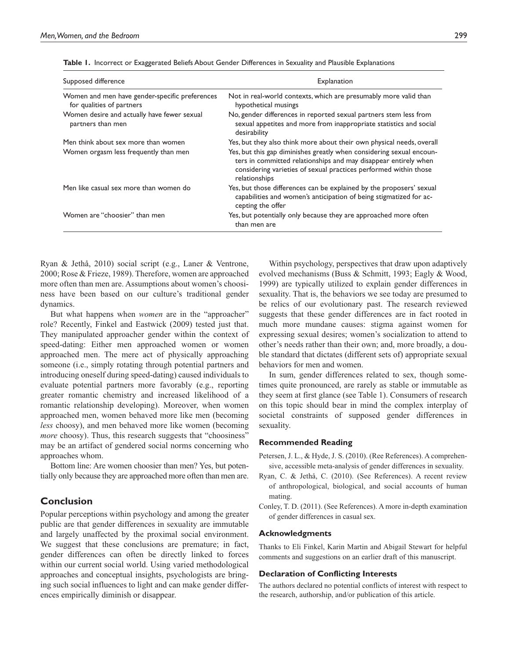| Supposed difference                                                         | Explanation                                                                                                                                                                                                                  |  |  |
|-----------------------------------------------------------------------------|------------------------------------------------------------------------------------------------------------------------------------------------------------------------------------------------------------------------------|--|--|
| Women and men have gender-specific preferences<br>for qualities of partners | Not in real-world contexts, which are presumably more valid than<br>hypothetical musings                                                                                                                                     |  |  |
| Women desire and actually have fewer sexual<br>partners than men            | No, gender differences in reported sexual partners stem less from<br>sexual appetites and more from inappropriate statistics and social<br>desirability                                                                      |  |  |
| Men think about sex more than women                                         | Yes, but they also think more about their own physical needs, overall                                                                                                                                                        |  |  |
| Women orgasm less frequently than men                                       | Yes, but this gap diminishes greatly when considering sexual encoun-<br>ters in committed relationships and may disappear entirely when<br>considering varieties of sexual practices performed within those<br>relationships |  |  |
| Men like casual sex more than women do                                      | Yes, but those differences can be explained by the proposers' sexual<br>capabilities and women's anticipation of being stigmatized for ac-<br>cepting the offer                                                              |  |  |
| Women are "choosier" than men                                               | Yes, but potentially only because they are approached more often<br>than men are                                                                                                                                             |  |  |

|  |  | Table 1. Incorrect or Exaggerated Beliefs About Gender Differences in Sexuality and Plausible Explanations |  |
|--|--|------------------------------------------------------------------------------------------------------------|--|
|--|--|------------------------------------------------------------------------------------------------------------|--|

Ryan & Jethå, 2010) social script (e.g., Laner & Ventrone, 2000; Rose & Frieze, 1989). Therefore, women are approached more often than men are. Assumptions about women's choosiness have been based on our culture's traditional gender dynamics.

But what happens when *women* are in the "approacher" role? Recently, Finkel and Eastwick (2009) tested just that. They manipulated approacher gender within the context of speed-dating: Either men approached women or women approached men. The mere act of physically approaching someone (i.e., simply rotating through potential partners and introducing oneself during speed-dating) caused individuals to evaluate potential partners more favorably (e.g., reporting greater romantic chemistry and increased likelihood of a romantic relationship developing). Moreover, when women approached men, women behaved more like men (becoming *less* choosy), and men behaved more like women (becoming *more* choosy). Thus, this research suggests that "choosiness" may be an artifact of gendered social norms concerning who approaches whom.

Bottom line: Are women choosier than men? Yes, but potentially only because they are approached more often than men are.

### **Conclusion**

Popular perceptions within psychology and among the greater public are that gender differences in sexuality are immutable and largely unaffected by the proximal social environment. We suggest that these conclusions are premature; in fact, gender differences can often be directly linked to forces within our current social world. Using varied methodological approaches and conceptual insights, psychologists are bringing such social influences to light and can make gender differences empirically diminish or disappear.

Within psychology, perspectives that draw upon adaptively evolved mechanisms (Buss & Schmitt, 1993; Eagly & Wood, 1999) are typically utilized to explain gender differences in sexuality. That is, the behaviors we see today are presumed to be relics of our evolutionary past. The research reviewed suggests that these gender differences are in fact rooted in much more mundane causes: stigma against women for expressing sexual desires; women's socialization to attend to other's needs rather than their own; and, more broadly, a double standard that dictates (different sets of) appropriate sexual behaviors for men and women.

In sum, gender differences related to sex, though sometimes quite pronounced, are rarely as stable or immutable as they seem at first glance (see Table 1). Consumers of research on this topic should bear in mind the complex interplay of societal constraints of supposed gender differences in sexuality.

#### **Recommended Reading**

Petersen, J. L., & Hyde, J. S. (2010). (Ree References). A comprehensive, accessible meta-analysis of gender differences in sexuality.

- Ryan, C. & Jethå, C. (2010). (See References). A recent review of anthropological, biological, and social accounts of human mating.
- Conley, T. D. (2011). (See References). A more in-depth examination of gender differences in casual sex.

#### **Acknowledgments**

Thanks to Eli Finkel, Karin Martin and Abigail Stewart for helpful comments and suggestions on an earlier draft of this manuscript.

#### **Declaration of Conflicting Interests**

The authors declared no potential conflicts of interest with respect to the research, authorship, and/or publication of this article.